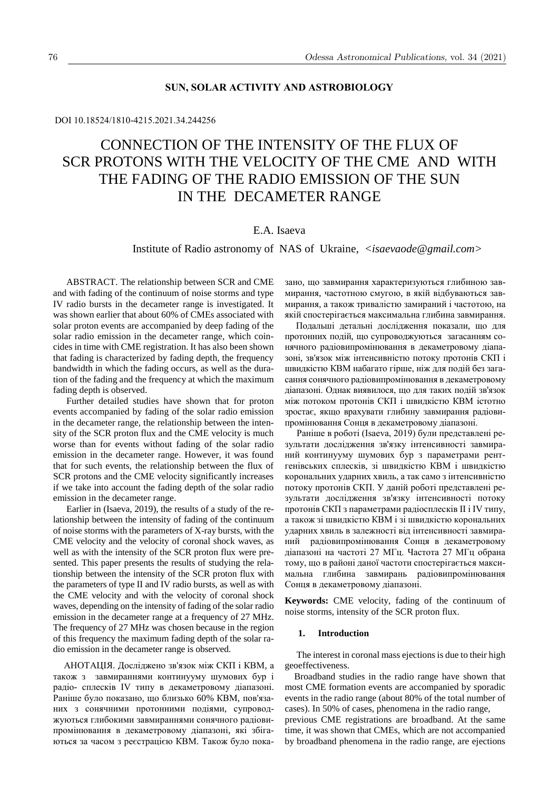### DOI 10.18524/1810-4215.2021.34.244256

# CONNECTION OF THE INTENSITY OF THE FLUX OF SCR PROTONS WITH THE VELOCITY OF THE CME AND WITH THE FADING OF THE RADIO EMISSION OF THE SUN IN THE DECAMETER RANGE

## E.A. Isaeva

Institute of Radio astronomy of NAS of Ukraine, *<isaevaode@gmail.com>*

ABSTRACT. The relationship between SCR and CME and with fading of the continuum of noise storms and type IV radio bursts in the decameter range is investigated. It was shown earlier that about 60% of CMEs associated with solar proton events are accompanied by deep fading of the solar radio emission in the decameter range, which coincides in time with CME registration. It has also been shown that fading is characterized by fading depth, the frequency bandwidth in which the fading occurs, as well as the duration of the fading and the frequency at which the maximum fading depth is observed.

Further detailed studies have shown that for proton events accompanied by fading of the solar radio emission in the decameter range, the relationship between the intensity of the SCR proton flux and the CME velocity is much worse than for events without fading of the solar radio emission in the decameter range. However, it was found that for such events, the relationship between the flux of SCR protons and the CME velocity significantly increases if we take into account the fading depth of the solar radio emission in the decameter range.

Earlier in (Isaeva, 2019), the results of a study of the relationship between the intensity of fading of the continuum of noise storms with the parameters of X-ray bursts, with the CME velocity and the velocity of coronal shock waves, as well as with the intensity of the SCR proton flux were presented. This paper presents the results of studying the relationship between the intensity of the SCR proton flux with the parameters of type II and IV radio bursts, as well as with the CME velocity and with the velocity of coronal shock waves, depending on the intensity of fading of the solar radio emission in the decameter range at a frequency of 27 MHz. The frequency of 27 MHz was chosen because in the region of this frequency the maximum fading depth of the solar radio emission in the decameter range is observed.

АНОТАЦІЯ. Досліджено зв'язок між СКП і КВМ, а також з завмираннями континууму шумових бур і радіо- сплесків IV типу в декаметровому діапазоні. Раніше було показано, що близько 60% КВМ, пов'язаних з сонячними протонними подіями, супроводжуються глибокими завмираннями сонячного радіовипромінювання в декаметровому діапазоні, які збігаються за часом з реєстрацією КВМ. Також було пока-

зано, що завмирання характеризуються глибиною завмирання, частотною смугою, в якій відбуваються завмирання, а також тривалістю замираний і частотою, на якій спостерігається максимальна глибина завмирання.

 Подальші детальні дослідження показали, що для протонних подій, що супроводжуються загасанням сонячного радіовипромінювання в декаметровому діапазоні, зв'язок між інтенсивністю потоку протонів СКП і швидкістю КВМ набагато гірше, ніж для подій без загасання сонячного радіовипромінювання в декаметровому діапазоні. Однак виявилося, що для таких подій зв'язок між потоком протонів СКП і швидкістю КВМ істотно зростає, якщо врахувати глибину завмирання радіовипромінювання Сонця в декаметровому діапазоні.

 Раніше в роботі (Isaeva, 2019) були представлені результати дослідження зв'язку інтенсивності завмираний континууму шумових бур з параметрами рентгенівських сплесків, зі швидкістю КВМ і швидкістю корональних ударних хвиль, а так само з інтенсивністю потоку протонів СКП. У даній роботі представлені результати дослідження зв'язку інтенсивності потоку протонів СКП з параметрами радіосплесків II і IV типу, а також зі швидкістю КВМ і зі швидкістю корональних ударних хвиль в залежності від інтенсивності завмираний радіовипромінювання Сонця в декаметровому діапазоні на частоті 27 МГц. Частота 27 МГц обрана тому, що в районі даної частоти спостерігається максимальна глибина завмирань радіовипромінювання Сонця в декаметровому діапазоні.

**Keywords:** CME velocity, fading of the continuum of noise storms, intensity of the SCR proton flux.

#### **1. Introduction**

 The interest in coronal mass ejections is due to their high geoeffectiveness.

 Broadband studies in the radio range have shown that most CME formation events are accompanied by sporadic events in the radio range (about 80% of the total number of cases). In 50% of cases, phenomena in the radio range,

previous CME registrations are broadband. At the same time, it was shown that CMEs, which are not accompanied by broadband phenomena in the radio range, are ejections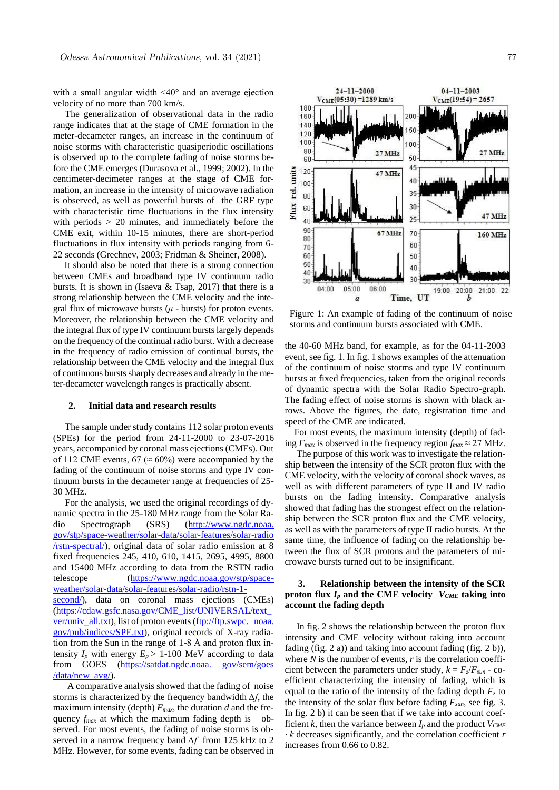with a small angular width <40° and an average ejection velocity of no more than 700 km/s.

 The generalization of observational data in the radio range indicates that at the stage of CME formation in the meter-decameter ranges, an increase in the continuum of noise storms with characteristic quasiperiodic oscillations is observed up to the complete fading of noise storms before the CME emerges (Durasova et al., 1999; 2002). In the centimeter-decimeter ranges at the stage of CME formation, an increase in the intensity of microwave radiation is observed, as well as powerful bursts of the GRF type with characteristic time fluctuations in the flux intensity with periods > 20 minutes, and immediately before the CME exit, within 10-15 minutes, there are short-period fluctuations in flux intensity with periods ranging from 6- 22 seconds (Grechnev, 2003; Fridman & Sheiner, 2008).

 It should also be noted that there is a strong connection between CMEs and broadband type IV continuum radio bursts. It is shown in (Isaeva  $&$  Tsap, 2017) that there is a strong relationship between the CME velocity and the integral flux of microwave bursts  $(\mu$  - bursts) for proton events. Moreover, the relationship between the CME velocity and the integral flux of type IV continuum bursts largely depends on the frequency of the continual radio burst. With a decrease in the frequency of radio emission of continual bursts, the relationship between the CME velocity and the integral flux of continuous bursts sharply decreases and already in the meter-decameter wavelength ranges is practically absent.

#### **2. Initial data and research results**

 The sample under study contains 112 solar proton events (SPEs) for the period from 24-11-2000 to 23-07-2016 years, accompanied by coronal mass ejections (CMEs). Out of 112 CME events, 67 ( $\approx$  60%) were accompanied by the fading of the continuum of noise storms and type IV continuum bursts in the decameter range at frequencies of 25- 30 MHz.

 For the analysis, we used the original recordings of dynamic spectra in the 25-180 MHz range from the Solar Radio Spectrograph (SRS) (http://www.ngdc.noaa. gov/stp/space-weather/solar-data/solar-features/solar-radio /rstn-spectral/), original data of solar radio emission at 8 fixed frequencies 2[45, 410, 610, 1415, 2695, 4995, 8800](https://www.ngdc.noaa.gov/stp/space-weather/solar-data/solar-features/solar-radio/rstn-1-second/)  [and 15400 MHz according to data from the RSTN radio](https://www.ngdc.noaa.gov/stp/space-weather/solar-data/solar-features/solar-radio/rstn-1-second/)  [telescop](https://www.ngdc.noaa.gov/stp/space-weather/solar-data/solar-features/solar-radio/rstn-1-second/)e (https://www.ngdc.noaa.gov/stp/space[weather/solar-data/solar-features/solar-radio/rstn-1](https://cdaw.gsfc.nasa.gov/CME_list/UNIVERSAL/text_ver/univ_all.txt) [second/\), data](https://cdaw.gsfc.nasa.gov/CME_list/UNIVERSAL/text_ver/univ_all.txt) on coronal mass ejections (CMEs) (https://cdaw.gsfc.nasa.gov/CME\_list/UNIVERSAL/text\_ ver/univ\_all.txt), list of proton events (ftp://ftp.swpc. noaa. gov/pub/indices/SPE.txt), original records of X-ray radiation from the Sun in the range of 1-8 Å and proton flux intensity  $I_p$  with energy  $E_p > 1$ -100 MeV according to data from GOES (https://satdat.ngdc.noaa. gov/sem/goes /data/new\_avg/).

 A comparative analysis showed that the fading of noise storms is characterized by the frequency bandwidth *∆f*, the maximum intensity (depth) *Fmax*, the duration *d* and the frequency  $f_{max}$  at which the maximum fading depth is observed. For most events, the fading of noise storms is observed in a narrow frequency band *∆f* from 125 kHz to 2 MHz. However, for some events, fading can be observed in



180

units 120

re.

Flux

60

 $40$ 

60

50

40  $40$ 30 06:00 19:00 20:00 21:00 22 04:00 05:00 Time, UT  $\boldsymbol{h}$  $\overline{a}$ 

Figure 1: An example of fading of the continuum of noise storms and continuum bursts associated with CME.

the 40-60 MHz band, for example, as for the 04-11-2003 event, see fig. 1. In fig. 1 shows examples of the attenuation of the continuum of noise storms and type IV continuum bursts at fixed frequencies, taken from the original records of dynamic spectra with the Solar Radio Spectro-graph. The fading effect of noise storms is shown with black arrows. Above the figures, the date, registration time and speed of the CME are indicated.

 For most events, the maximum intensity (depth) of fading  $F_{max}$  is observed in the frequency region  $f_{max} \approx 27$  MHz.

 The purpose of this work was to investigate the relationship between the intensity of the SCR proton flux with the CME velocity, with the velocity of coronal shock waves, as well as with different parameters of type II and IV radio bursts on the fading intensity. Comparative analysis showed that fading has the strongest effect on the relationship between the SCR proton flux and the CME velocity, as well as with the parameters of type II radio bursts. At the same time, the influence of fading on the relationship between the flux of SCR protons and the parameters of microwave bursts turned out to be insignificant.

#### **3. Relationship between the intensity of the SCR proton flux** *I<sup>p</sup>* **and the CME velocity** *VCME* **taking into account the fading depth**

 In fig. 2 shows the relationship between the proton flux intensity and CME velocity without taking into account fading (fig. 2 a)) and taking into account fading (fig. 2 b)), where *N* is the number of events, *r* is the correlation coefficient between the parameters under study,  $k = F_z/F_{sun}$  - coefficient characterizing the intensity of fading, which is equal to the ratio of the intensity of the fading depth  $F<sub>z</sub>$  to the intensity of the solar flux before fading *Fsun*, see fig. 3. In fig. 2 b) it can be seen that if we take into account coefficient *k*, then the variance between  $I_p$  and the product  $V_{CME}$ *∙ k* decreases significantly, and the correlation coefficient *r* increases from 0.66 to 0.82.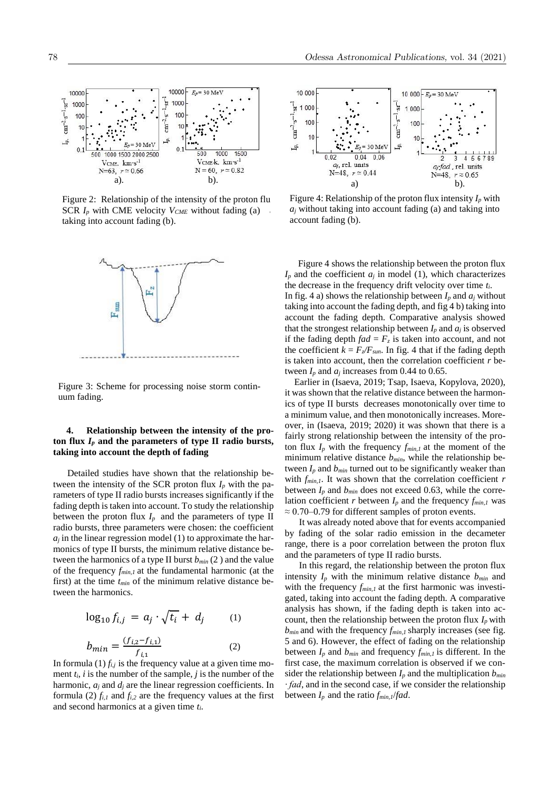

Figure 2: Relationship of the intensity of the proton flu SCR  $I_p$  with CME velocity  $V_{CME}$  without fading (a) taking into account fading (b).



Figure 3: Scheme for processing noise storm continuum fading.

#### **4. Relationship between the intensity of the pro**ton flux  $I_p$  and the parameters of type II radio bursts, **taking into account the depth of fading**

 Detailed studies have shown that the relationship between the intensity of the SCR proton flux  $I_p$  with the parameters of type II radio bursts increases significantly if the fading depth is taken into account. To study the relationship between the proton flux  $I_p$  and the parameters of type II radio bursts, three parameters were chosen: the coefficient  $a_j$  in the linear regression model (1) to approximate the harmonics of type II bursts, the minimum relative distance between the harmonics of a type II burst  $b_{min}(2)$  and the value of the frequency *fmin,1* at the fundamental harmonic (at the first) at the time *tmin* of the minimum relative distance between the harmonics.

$$
\log_{10} f_{i,j} = a_j \cdot \sqrt{t_i} + d_j \qquad (1)
$$

$$
b_{min} = \frac{(f_{i,2} - f_{i,1})}{f_{i,1}} \qquad (2)
$$

In formula  $(1) f_{i,j}$  is the frequency value at a given time moment  $t_i$ , *i* is the number of the sample, *j* is the number of the harmonic, *a<sup>j</sup>* and *d<sup>j</sup>* are the linear regression coefficients. In formula (2)  $f_{i,l}$  and  $f_{i,2}$  are the frequency values at the first and second harmonics at a given time *ti*.



Figure 4: Relationship of the proton flux intensity  $I_p$  with  $a_j$  without taking into account fading (a) and taking into account fading (b).

Figure 4 shows the relationship between the proton flux  $I_p$  and the coefficient  $a_j$  in model (1), which characterizes the decrease in the frequency drift velocity over time *ti*. In fig. 4 a) shows the relationship between  $I_p$  and  $a_j$  without taking into account the fading depth, and fig 4 b) taking into account the fading depth. Comparative analysis showed that the strongest relationship between  $I_p$  and  $a_j$  is observed if the fading depth  $f a d = F_z$  is taken into account, and not the coefficient  $k = F_{z}/F_{sun}$ . In fig. 4 that if the fading depth is taken into account, then the correlation coefficient  $r$  between  $I_p$  and  $a_j$  increases from 0.44 to 0.65.

 Earlier in (Isaeva, 2019; Tsap, Isaeva, Kopylova, 2020), it was shown that the relative distance between the harmonics of type II bursts decreases monotonically over time to a minimum value, and then monotonically increases. Moreover, in (Isaeva, 2019; 2020) it was shown that there is a fairly strong relationship between the intensity of the proton flux  $I_p$  with the frequency  $f_{min,1}$  at the moment of the minimum relative distance  $b_{min}$ , while the relationship between  $I_p$  and  $b_{min}$  turned out to be significantly weaker than with  $f_{min,1}$ . It was shown that the correlation coefficient *r* between  $I_p$  and  $b_{min}$  does not exceed 0.63, while the correlation coefficient *r* between  $I_p$  and the frequency  $f_{min,1}$  was  $\approx$  0.70–0.79 for different samples of proton events.

 It was already noted above that for events accompanied by fading of the solar radio emission in the decameter range, there is a poor correlation between the proton flux and the parameters of type II radio bursts.

 In this regard, the relationship between the proton flux intensity  $I_p$  with the minimum relative distance  $b_{min}$  and with the frequency  $f_{min,1}$  at the first harmonic was investigated, taking into account the fading depth. A comparative analysis has shown, if the fading depth is taken into account, then the relationship between the proton flux  $I_p$  with *bmin* and with the frequency *fmin,1* sharply increases (see fig. 5 and 6). However, the effect of fading on the relationship between  $I_p$  and  $b_{min}$  and frequency  $f_{min,I}$  is different. In the first case, the maximum correlation is observed if we consider the relationship between  $I_p$  and the multiplication  $b_{min}$ *∙ fad*, and in the second case, if we consider the relationship between  $I_p$  and the ratio  $f_{min,1}/f$ *ad*.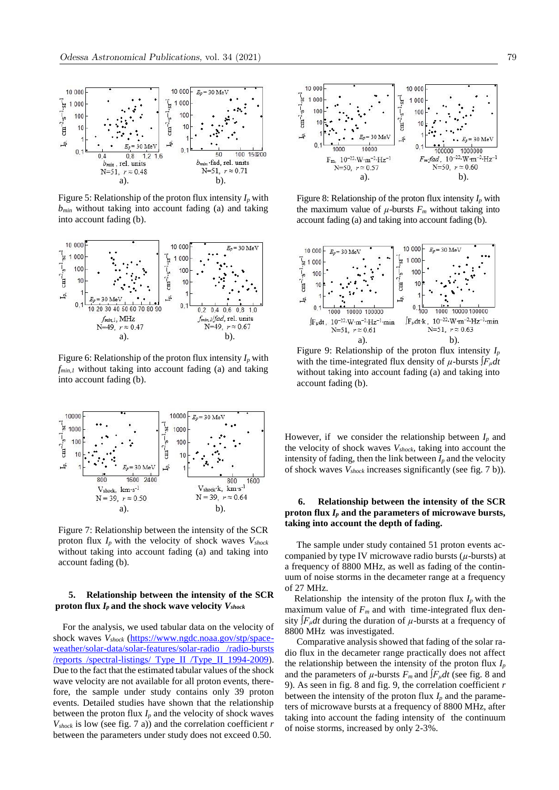

Figure 5: Relationship of the proton flux intensity  $I_p$  with *bmin* without taking into account fading (a) and taking into account fading (b).



Figure 6: Relationship of the proton flux intensity *I<sup>p</sup>* with *fmin,1* without taking into account fading (a) and taking into account fading (b).



Figure 7: Relationship between the intensity of the SCR proton flux *I<sup>p</sup>* with the velocity of shock waves *Vshock* without taking into account fading (a) and taking into account fading (b).

#### **5. Relationship between the intensity of the SCR proton flux** *I<sup>p</sup>* **and the shock wave velocity** *Vshock*

 For the analysis, [we used tabular data on the velocity of](https://www.ngdc.noaa.gov/stp/space-weather/solar-data/solar-features/solar-radio%20/radio-bursts%20/reports%20/spectral-listings/%20Type_II%20/Type_II_1994-2009)  shock waves *Vshock* [\(https://www.ngdc.noaa.gov/stp/space](https://www.ngdc.noaa.gov/stp/space-weather/solar-data/solar-features/solar-radio%20/radio-bursts%20/reports%20/spectral-listings/%20Type_II%20/Type_II_1994-2009)[weather/solar-data/solar-features/solar-radio /radio-burst](https://www.ngdc.noaa.gov/stp/space-weather/solar-data/solar-features/solar-radio%20/radio-bursts%20/reports%20/spectral-listings/%20Type_II%20/Type_II_1994-2009)s /reports /spectral-listings/ Type\_II /Type\_II\_1994-2009). Due to the fact that the estimated tabular values of the shock wave velocity are not available for all proton events, therefore, the sample under study contains only 39 proton events. Detailed studies have shown that the relationship between the proton flux  $I_p$  and the velocity of shock waves  $V_{shock}$  is low (see fig. 7 a)) and the correlation coefficient *r* between the parameters under study does not exceed 0.50.



Figure 8: Relationship of the proton flux intensity  $I_p$  with the maximum value of  $\mu$ -bursts  $F_m$  without taking into account fading (a) and taking into account fading (b).



Figure 9: Relationship of the proton flux intensity *I<sup>p</sup>* with the time-integrated flux density of  $\mu$ -bursts  $\int F_{\mu} dt$ without taking into account fading (a) and taking into account fading (b).

However, if we consider the relationship between  $I_p$  and the velocity of shock waves *Vshock*, taking into account the intensity of fading, then the link between  $I_p$  and the velocity of shock waves *Vshock* increases significantly (see fig. 7 b)).

#### **6. Relationship between the intensity of the SCR proton flux** *I<sup>p</sup>* **and the parameters of microwave bursts, taking into account the depth of fading.**

 The sample under study contained 51 proton events accompanied by type IV microwave radio bursts (*µ*-bursts) at a frequency of 8800 MHz, as well as fading of the continuum of noise storms in the decameter range at a frequency of 27 MHz.

Relationship the intensity of the proton flux  $I_p$  with the maximum value of  $F_m$  and with time-integrated flux density *∫Fµdt* during the duration of *µ*-bursts at a frequency of 8800 MHz was investigated.

 Comparative analysis showed that fading of the solar radio flux in the decameter range practically does not affect the relationship between the intensity of the proton flux  $I_p$ and the parameters of  $\mu$ -bursts  $F_m$  and  $\int F_{\mu} dt$  (see fig. 8 and 9). As seen in fig. 8 and fig. 9, the correlation coefficient *r*  between the intensity of the proton flux  $I_p$  and the parameters of microwave bursts at a frequency of 8800 MHz, after taking into account the fading intensity of the continuum of noise storms, increased by only 2-3%.